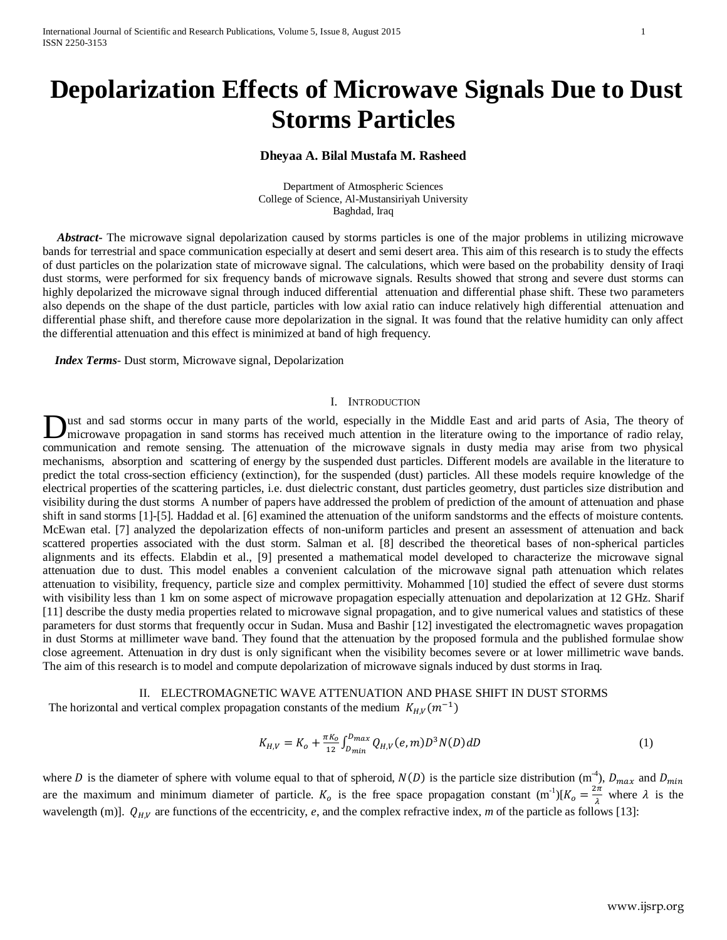# **Depolarization Effects of Microwave Signals Due to Dust Storms Particles**

## **Dheyaa A. Bilal Mustafa M. Rasheed**

Department of Atmospheric Sciences College of Science, Al-Mustansiriyah University Baghdad, Iraq

 *Abstract***-** The microwave signal depolarization caused by storms particles is one of the major problems in utilizing microwave bands for terrestrial and space communication especially at desert and semi desert area. This aim of this research is to study the effects of dust particles on the polarization state of microwave signal. The calculations, which were based on the probability density of Iraqi dust storms, were performed for six frequency bands of microwave signals. Results showed that strong and severe dust storms can highly depolarized the microwave signal through induced differential attenuation and differential phase shift. These two parameters also depends on the shape of the dust particle, particles with low axial ratio can induce relatively high differential attenuation and differential phase shift, and therefore cause more depolarization in the signal. It was found that the relative humidity can only affect the differential attenuation and this effect is minimized at band of high frequency.

 *Index Terms*- Dust storm, Microwave signal, Depolarization

## I. INTRODUCTION

ust and sad storms occur in many parts of the world, especially in the Middle East and arid parts of Asia, The theory of microwave propagation in sand storms has received much attention in the literature owing to the importance of radio relay, **Dust and sad storms occur in many parts of the world, especially in the Middle East and arid parts of Asia, The theory of microwave propagation in sand storms has received much attention in the literature owing to the imp** mechanisms, absorption and scattering of energy by the suspended dust particles. Different models are available in the literature to predict the total cross-section efficiency (extinction), for the suspended (dust) particles. All these models require knowledge of the electrical properties of the scattering particles, i.e. dust dielectric constant, dust particles geometry, dust particles size distribution and visibility during the dust storms A number of papers have addressed the problem of prediction of the amount of attenuation and phase shift in sand storms [1]-[5]. Haddad et al. [6] examined the attenuation of the uniform sandstorms and the effects of moisture contents. McEwan etal. [7] analyzed the depolarization effects of non-uniform particles and present an assessment of attenuation and back scattered properties associated with the dust storm. Salman et al. [8] described the theoretical bases of non-spherical particles alignments and its effects. Elabdin et al., [9] presented a mathematical model developed to characterize the microwave signal attenuation due to dust. This model enables a convenient calculation of the microwave signal path attenuation which relates attenuation to visibility, frequency, particle size and complex permittivity. Mohammed [10] studied the effect of severe dust storms with visibility less than 1 km on some aspect of microwave propagation especially attenuation and depolarization at 12 GHz. Sharif [11] describe the dusty media properties related to microwave signal propagation, and to give numerical values and statistics of these parameters for dust storms that frequently occur in Sudan. Musa and Bashir [12] investigated the electromagnetic waves propagation in dust Storms at millimeter wave band. They found that the attenuation by the proposed formula and the published formulae show close agreement. Attenuation in dry dust is only significant when the visibility becomes severe or at lower millimetric wave bands. The aim of this research is to model and compute depolarization of microwave signals induced by dust storms in Iraq.

# II. ELECTROMAGNETIC WAVE ATTENUATION AND PHASE SHIFT IN DUST STORMS

The horizontal and vertical complex propagation constants of the medium  $K_{H,V}(m^{-1})$ 

$$
K_{H,V} = K_o + \frac{\pi K_o}{12} \int_{D_{min}}^{D_{max}} Q_{H,V}(e,m) D^3 N(D) dD \tag{1}
$$

where D is the diameter of sphere with volume equal to that of spheroid,  $N(D)$  is the particle size distribution  $(m_1^4)$ ,  $D_{max}$  and  $D_{min}$ are the maximum and minimum diameter of particle.  $K_o$  is the free space propagation constant  $(m^{-1})[K_o = \frac{2\pi}{\lambda}$  where  $\lambda$  is the wavelength (m)].  $Q_{H,V}$  are functions of the eccentricity, *e*, and the complex refractive index, *m* of the particle as follows [13]: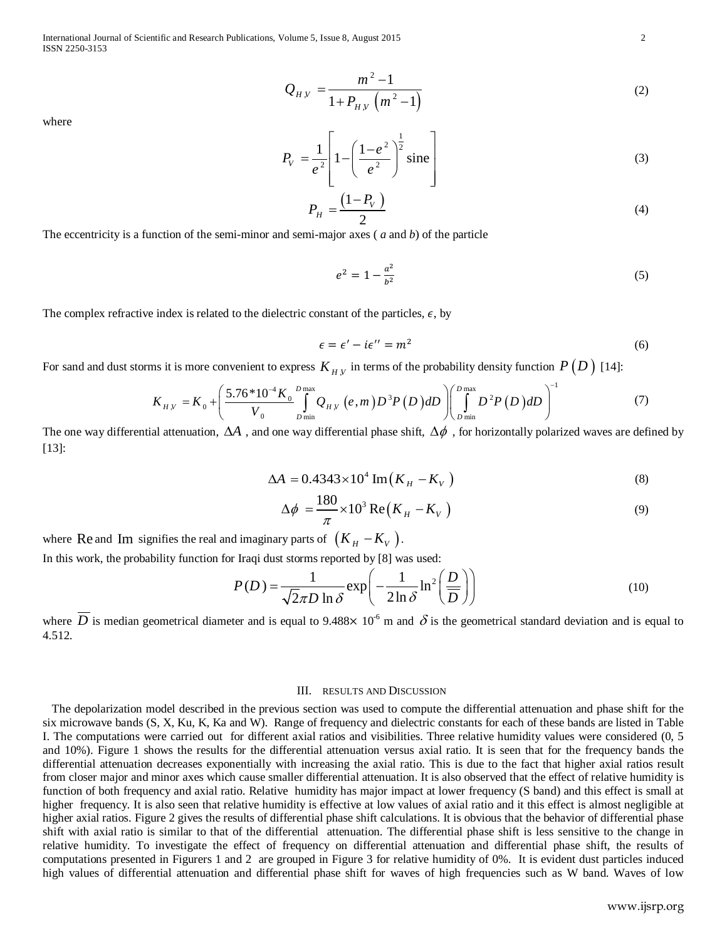International Journal of Scientific and Research Publications, Volume 5, Issue 8, August 2015 2 ISSN 2250-3153

$$
Q_{H,V} = \frac{m^2 - 1}{1 + P_{H,V} (m^2 - 1)}
$$
 (2)

where

$$
P_V = \frac{1}{e^2} \left[ 1 - \left( \frac{1 - e^2}{e^2} \right)^{\frac{1}{2}} \text{sine} \right]
$$
 (3)

$$
P_H = \frac{\left(1 - P_V\right)}{2} \tag{4}
$$

The eccentricity is a function of the semi-minor and semi-major axes ( *a* and *b*) of the particle

$$
e^2 = 1 - \frac{a^2}{b^2} \tag{5}
$$

The complex refractive index is related to the dielectric constant of the particles,  $\epsilon$ , by

$$
\epsilon = \epsilon' - i\epsilon'' = m^2 \tag{6}
$$

For sand and dust storms it is more convenient to express  $K_{_H, V}$  in terms of the probability density function  $P\left(D\right)$  [14]:

$$
K_{H,V} = K_0 + \left(\frac{5.76*10^{-4}K_0}{V_0}\int_{D_{\text{min}}}^{D_{\text{max}}} Q_{H,V}(e,m)D^3P(D) dD\right)\left(\int_{D_{\text{min}}}^{D_{\text{max}}} D^2P(D) dD\right)^{-1}
$$
(7)

The one way differential attenuation,  $\Delta A$  , and one way differential phase shift,  $\Delta\phi$  , for horizontally polarized waves are defined by [13]:

$$
\Delta A = 0.4343 \times 10^4 \operatorname{Im} \left( K_H - K_V \right) \tag{8}
$$

$$
\Delta \phi = \frac{180}{\pi} \times 10^3 \operatorname{Re}(K_H - K_V)
$$
\n(9)

where Re and Im signifies the real and imaginary parts of  $(K_H - K_V)$ .

In this work, the probability function for Iraqi dust storms reported by [8] was used:

$$
P(D) = \frac{1}{\sqrt{2}\pi D \ln \delta} \exp\left(-\frac{1}{2\ln \delta} \ln^2\left(\frac{D}{D}\right)\right)
$$
(10)

where D is median geometrical diameter and is equal to 9.488×  $10^{-6}$  m and  $\delta$  is the geometrical standard deviation and is equal to 4.512.

### III. RESULTS AND DISCUSSION

 The depolarization model described in the previous section was used to compute the differential attenuation and phase shift for the six microwave bands (S, X, Ku, K, Ka and W). Range of frequency and dielectric constants for each of these bands are listed in Table I. The computations were carried out for different axial ratios and visibilities. Three relative humidity values were considered (0, 5 and 10%). Figure 1 shows the results for the differential attenuation versus axial ratio. It is seen that for the frequency bands the differential attenuation decreases exponentially with increasing the axial ratio. This is due to the fact that higher axial ratios result from closer major and minor axes which cause smaller differential attenuation. It is also observed that the effect of relative humidity is function of both frequency and axial ratio. Relative humidity has major impact at lower frequency (S band) and this effect is small at higher frequency. It is also seen that relative humidity is effective at low values of axial ratio and it this effect is almost negligible at higher axial ratios. Figure 2 gives the results of differential phase shift calculations. It is obvious that the behavior of differential phase shift with axial ratio is similar to that of the differential attenuation. The differential phase shift is less sensitive to the change in relative humidity. To investigate the effect of frequency on differential attenuation and differential phase shift, the results of computations presented in Figurers 1 and 2 are grouped in Figure 3 for relative humidity of 0%. It is evident dust particles induced high values of differential attenuation and differential phase shift for waves of high frequencies such as W band. Waves of low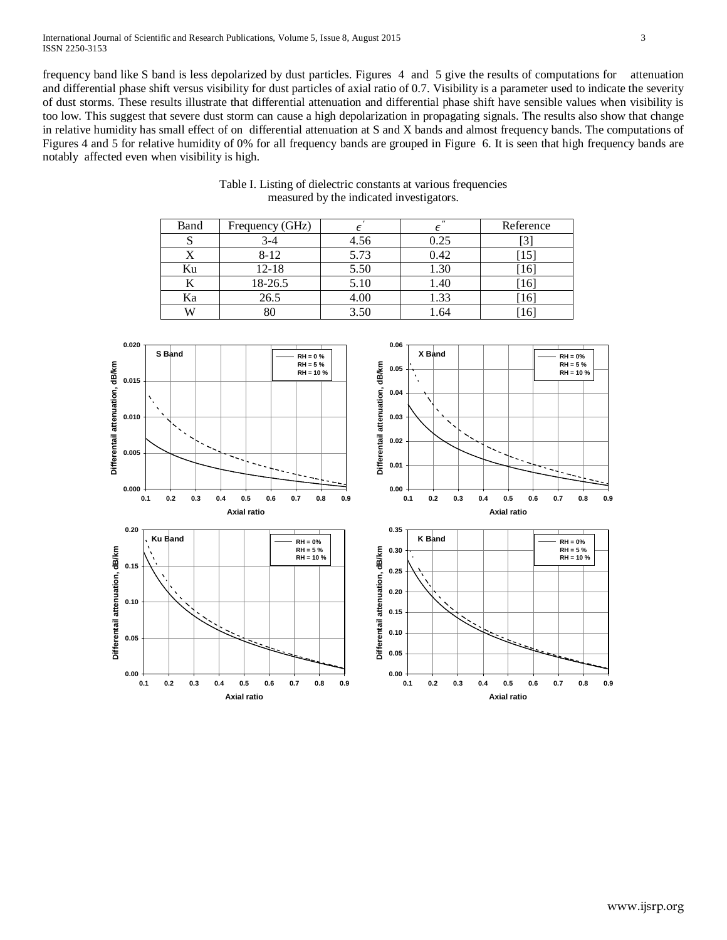frequency band like S band is less depolarized by dust particles. Figures 4 and 5 give the results of computations for attenuation and differential phase shift versus visibility for dust particles of axial ratio of 0.7. Visibility is a parameter used to indicate the severity of dust storms. These results illustrate that differential attenuation and differential phase shift have sensible values when visibility is too low. This suggest that severe dust storm can cause a high depolarization in propagating signals. The results also show that change in relative humidity has small effect of on differential attenuation at S and X bands and almost frequency bands. The computations of Figures 4 and 5 for relative humidity of 0% for all frequency bands are grouped in Figure 6. It is seen that high frequency bands are notably affected even when visibility is high.

| Band | Frequency (GHz) |      | $^{\prime\prime}$ | Reference |
|------|-----------------|------|-------------------|-----------|
|      | $3-4$           | 4.56 | 0.25              |           |
|      | $8 - 12$        | 5.73 | 0.42              | 15        |
| Ku   | $12 - 18$       | 5.50 | 1.30              | [16]      |
|      | 18-26.5         | 5.10 | 1.40              | [16]      |
| Ka   | 26.5            | 4.00 | 1.33              | [16]      |
| W    | 80              | 3.50 | .64               |           |

Table I. Listing of dielectric constants at various frequencies measured by the indicated investigators.

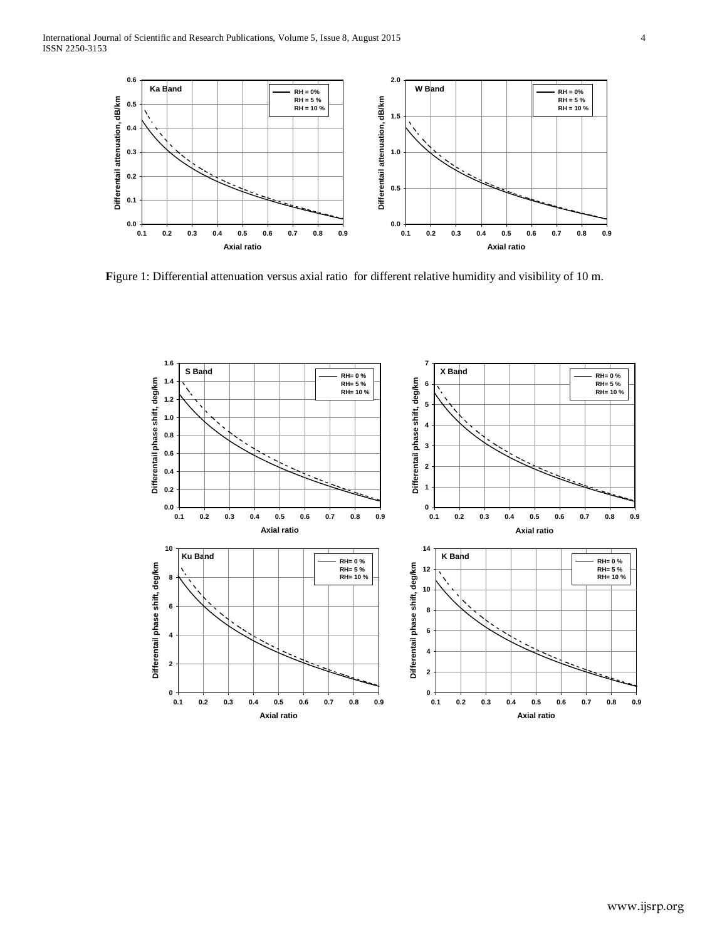

**F**igure 1: Differential attenuation versus axial ratio for different relative humidity and visibility of 10 m.

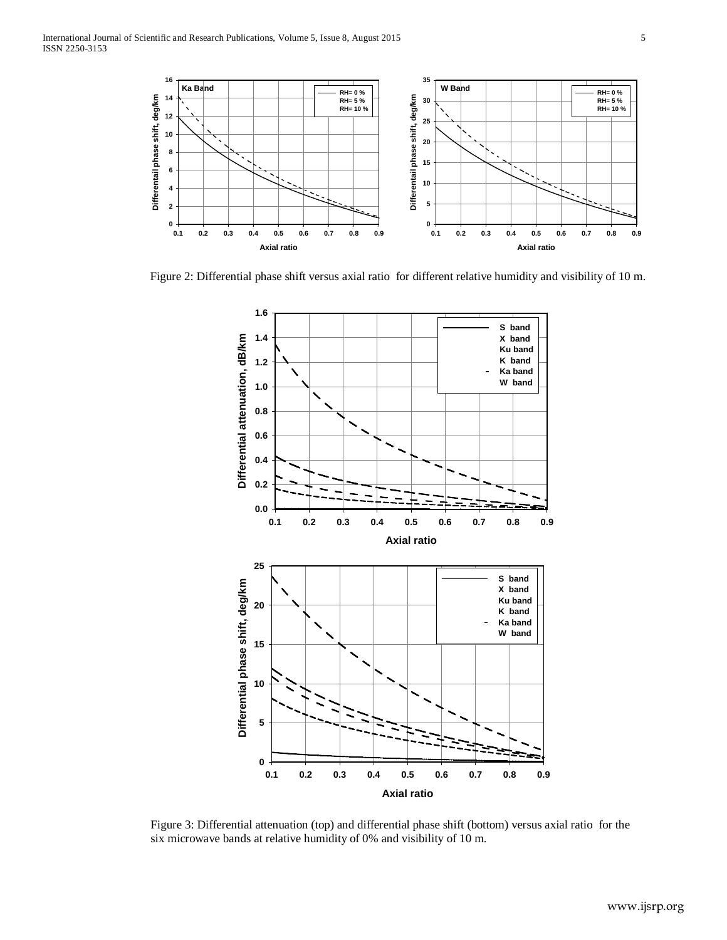

Figure 2: Differential phase shift versus axial ratio for different relative humidity and visibility of 10 m.



Figure 3: Differential attenuation (top) and differential phase shift (bottom) versus axial ratio for the six microwave bands at relative humidity of 0% and visibility of 10 m.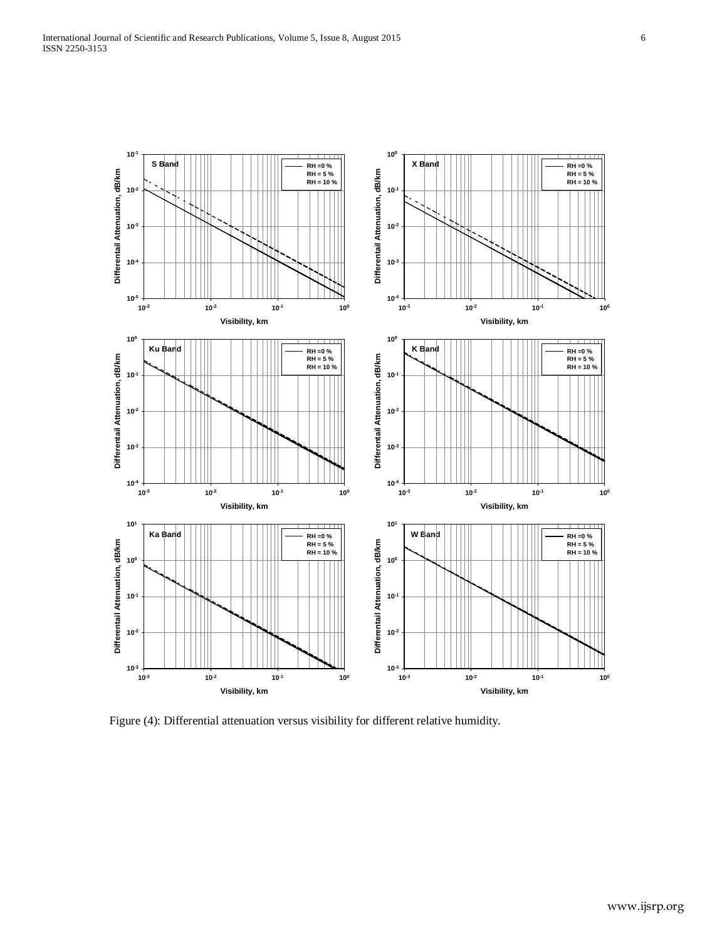

Figure (4): Differential attenuation versus visibility for different relative humidity.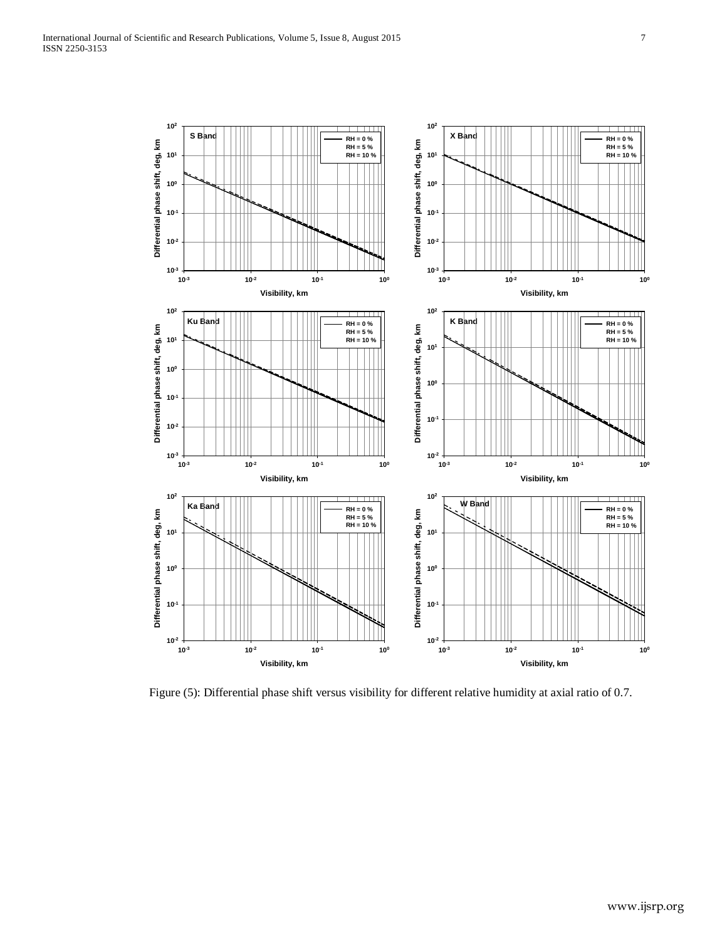

Figure (5): Differential phase shift versus visibility for different relative humidity at axial ratio of 0.7.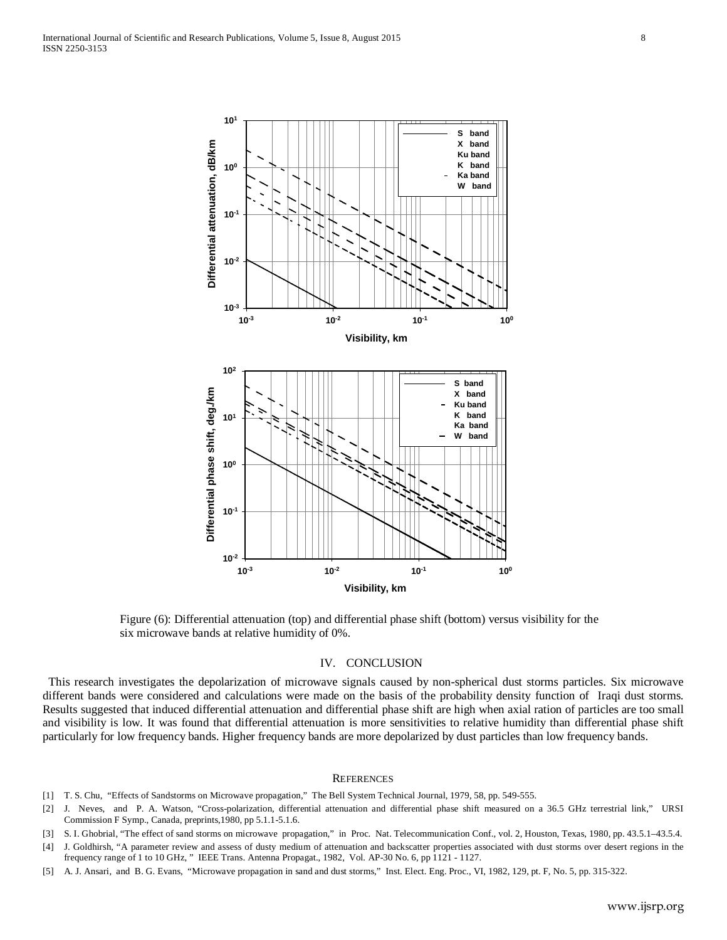

Figure (6): Differential attenuation (top) and differential phase shift (bottom) versus visibility for the six microwave bands at relative humidity of 0%.

### IV. CONCLUSION

 This research investigates the depolarization of microwave signals caused by non-spherical dust storms particles. Six microwave different bands were considered and calculations were made on the basis of the probability density function of Iraqi dust storms. Results suggested that induced differential attenuation and differential phase shift are high when axial ration of particles are too small and visibility is low. It was found that differential attenuation is more sensitivities to relative humidity than differential phase shift particularly for low frequency bands. Higher frequency bands are more depolarized by dust particles than low frequency bands.

#### **REFERENCES**

- [1] T. S. Chu, "Effects of Sandstorms on Microwave propagation," The Bell System Technical Journal, 1979, 58, pp. 549-555.
- [2] J. Neves, and P. A. Watson, "Cross-polarization, differential attenuation and differential phase shift measured on a 36.5 GHz terrestrial link," URSI Commission F Symp., Canada, preprints,1980, pp 5.1.1-5.1.6.
- [3] S. I. Ghobrial, "The effect of sand storms on microwave propagation," in Proc. Nat. Telecommunication Conf., vol. 2, Houston, Texas, 1980, pp. 43.5.1–43.5.4.
- [4] J. Goldhirsh, "A parameter review and assess of dusty medium of attenuation and backscatter properties associated with dust storms over desert regions in the frequency range of 1 to 10 GHz, " IEEE Trans. Antenna Propagat., 1982, Vol. AP-30 No. 6, pp 1121 - 1127.
- [5] A. J. Ansari, and B. G. Evans, "Microwave propagation in sand and dust storms," Inst. Elect. Eng. Proc., VI, 1982, 129, pt. F, No. 5, pp. 315-322.